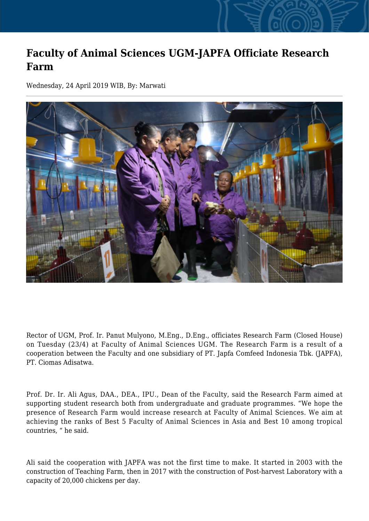## **Faculty of Animal Sciences UGM-JAPFA Officiate Research Farm**

Wednesday, 24 April 2019 WIB, By: Marwati



Rector of UGM, Prof. Ir. Panut Mulyono, M.Eng., D.Eng., officiates Research Farm (Closed House) on Tuesday (23/4) at Faculty of Animal Sciences UGM. The Research Farm is a result of a cooperation between the Faculty and one subsidiary of PT. Japfa Comfeed Indonesia Tbk. (JAPFA), PT. Ciomas Adisatwa.

Prof. Dr. Ir. Ali Agus, DAA., DEA., IPU., Dean of the Faculty, said the Research Farm aimed at supporting student research both from undergraduate and graduate programmes. "We hope the presence of Research Farm would increase research at Faculty of Animal Sciences. We aim at achieving the ranks of Best 5 Faculty of Animal Sciences in Asia and Best 10 among tropical countries, " he said.

Ali said the cooperation with JAPFA was not the first time to make. It started in 2003 with the construction of Teaching Farm, then in 2017 with the construction of Post-harvest Laboratory with a capacity of 20,000 chickens per day.